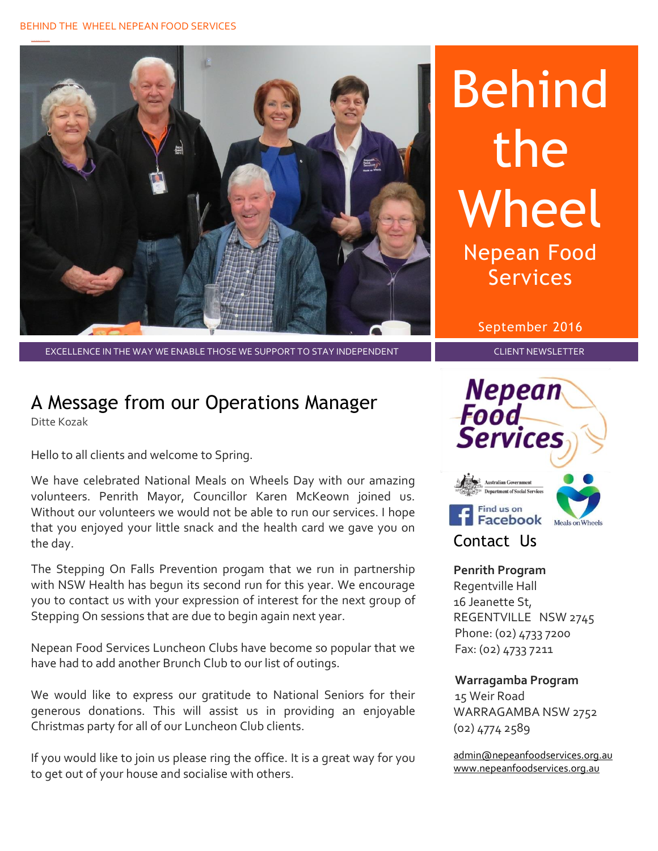#### BEHIND THE WHEEL NEPEAN FOOD SERVICES



Behind the **Wheel** Nepean Food Services

September 2016

EXCELLENCE IN THE WAY WE ENABLE THOSE WE SUPPORT TO STAY INDEPENDENT FOR THE REAL FOLLENT NEWSLETTER

# A Message from our Operations Manager

Ditte Kozak

Hello to all clients and welcome to Spring.

We have celebrated National Meals on Wheels Day with our amazing volunteers. Penrith Mayor, Councillor Karen McKeown joined us. Without our volunteers we would not be able to run our services. I hope that you enjoyed your little snack and the health card we gave you on the day.

The Stepping On Falls Prevention progam that we run in partnership with NSW Health has begun its second run for this year. We encourage you to contact us with your expression of interest for the next group of Stepping On sessions that are due to begin again next year.

Nepean Food Services Luncheon Clubs have become so popular that we have had to add another Brunch Club to our list of outings.

We would like to express our gratitude to National Seniors for their generous donations. This will assist us in providing an enjoyable Christmas party for all of our Luncheon Club clients.

If you would like to join us please ring the office. It is a great way for you to get out of your house and socialise with others.



#### **Penrith Program**

Regentville Hall 16 Jeanette St, REGENTVILLE NSW 2745 Phone: (02) 4733 7200 Fax: (02) 4733 7211

#### **Warragamba Program**

 15 Weir Road WARRAGAMBA NSW 2752 (02) 4774 2589

[admin@nepeanfoodservices.org.au](mailto:admin@nepeanfoodservices.org.au) [www.nepeanfoodservices.org.au](http://www.nepeanfoodservices.org.au/)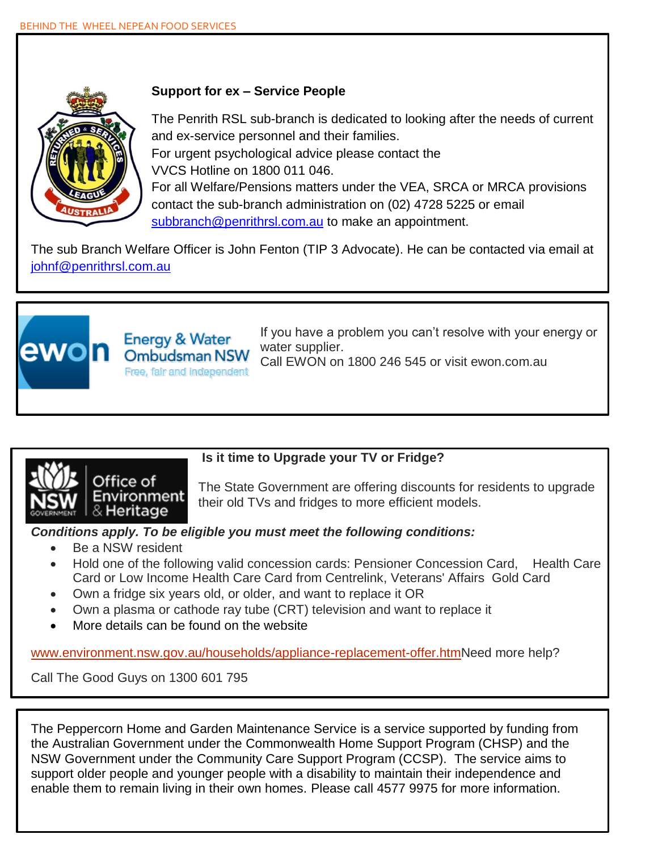

#### **Support for ex – Service People**

The Penrith RSL sub-branch is dedicated to looking after the needs of current and ex-service personnel and their families. For urgent psychological advice please contact the VVCS Hotline on 1800 011 046. For all Welfare/Pensions matters under the VEA, SRCA or MRCA provisions contact the sub-branch administration on (02) 4728 5225 or email [subbranch@penrithrsl.com.au](mailto:subbranch@penrithrsl.com.au) to make an appointment.

The sub Branch Welfare Officer is John Fenton (TIP 3 Advocate). He can be contacted via email at [johnf@penrithrsl.com.au](mailto:johnf@penrithrsl.com.au)



If you have a problem you can't resolve with your energy or water supplier. Call EWON on 1800 246 545 or visit ewon.com.au



### **Is it time to Upgrade your TV or Fridge?**

The State Government are offering discounts for residents to upgrade their old TVs and fridges to more efficient models.

#### *Conditions apply. To be eligible you must meet the following conditions:*

- Be a NSW resident
- Hold one of the following valid concession cards: Pensioner Concession Card, Health Care Card or Low Income Health Care Card from Centrelink, Veterans' Affairs Gold Card
- Own a fridge six years old, or older, and want to replace it OR
- Own a plasma or cathode ray tube (CRT) television and want to replace it
- More details can be found on the website

**Energy & Water** 

**Ombudsman NSW** Free, fair and independent

[www.environment.nsw.gov.au/households/appliance-replacement-offer.htmN](http://www.environment.nsw.gov.au/households/appliance-replacement-offer.htm)eed more help?

Call The Good Guys on 1300 601 795

The Peppercorn Home and Garden Maintenance Service is a service supported by funding from the Australian Government under the Commonwealth Home Support Program (CHSP) and the NSW Government under the Community Care Support Program (CCSP). The service aims to support older people and younger people with a disability to maintain their independence and enable them to remain living in their own homes. Please call 4577 9975 for more information.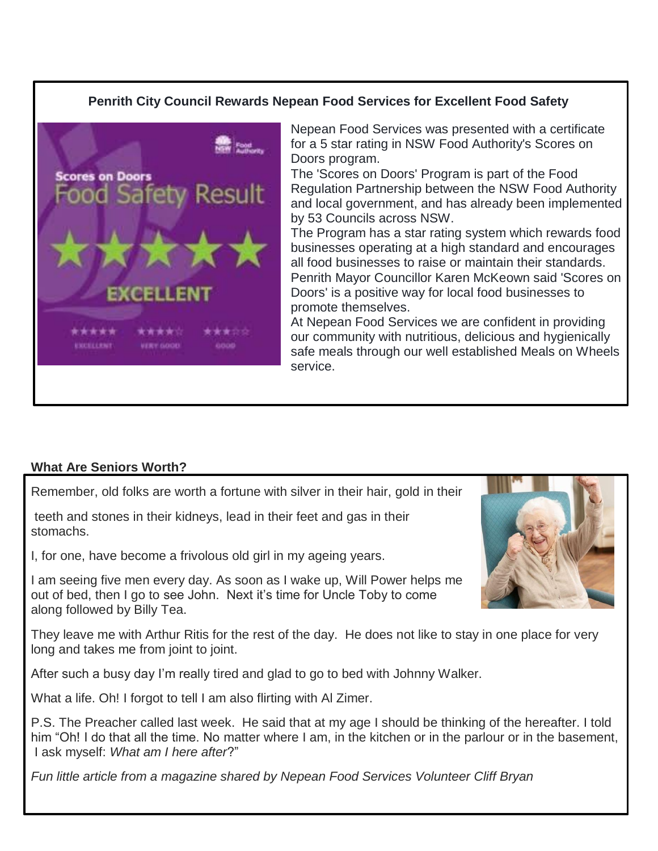#### **Penrith City Council Rewards Nepean Food Services for Excellent Food Safety**



Nepean Food Services was presented with a certificate for a 5 star rating in NSW Food Authority's Scores on Doors program.

The 'Scores on Doors' Program is part of the Food Regulation Partnership between the NSW Food Authority and local government, and has already been implemented by 53 Councils across NSW.

The Program has a star rating system which rewards food businesses operating at a high standard and encourages all food businesses to raise or maintain their standards. Penrith Mayor Councillor Karen McKeown said 'Scores on Doors' is a positive way for local food businesses to promote themselves.

At Nepean Food Services we are confident in providing our community with nutritious, delicious and hygienically safe meals through our well established Meals on Wheels service.

#### **What Are Seniors Worth?**

Remember, old folks are worth a fortune with silver in their hair, gold in their

teeth and stones in their kidneys, lead in their feet and gas in their stomachs.

I, for one, have become a frivolous old girl in my ageing years.

I am seeing five men every day. As soon as I wake up, Will Power helps me out of bed, then I go to see John. Next it's time for Uncle Toby to come along followed by Billy Tea.

They leave me with Arthur Ritis for the rest of the day. He does not like to stay in one place for very long and takes me from joint to joint.

After such a busy day I'm really tired and glad to go to bed with Johnny Walker.

What a life. Oh! I forgot to tell I am also flirting with Al Zimer.

P.S. The Preacher called last week. He said that at my age I should be thinking of the hereafter. I told him "Oh! I do that all the time. No matter where I am, in the kitchen or in the parlour or in the basement, I ask myself: *What am I here after*?"

*Fun little article from a magazine shared by Nepean Food Services Volunteer Cliff Bryan*

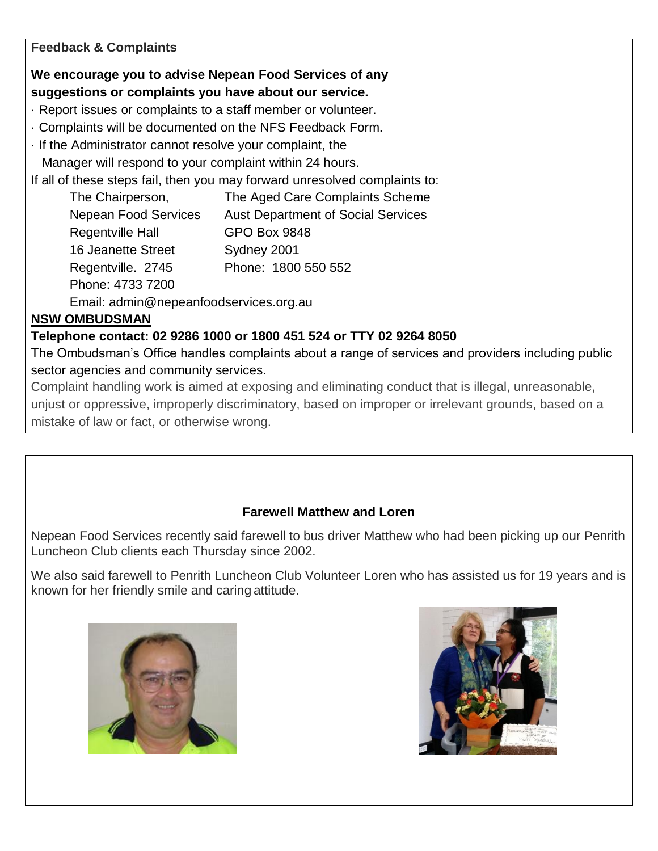#### **Feedback & Complaints**

### **We encourage you to advise Nepean Food Services of any suggestions or complaints you have about our service.**

· Report issues or complaints to a staff member or volunteer.

- · Complaints will be documented on the NFS Feedback Form.
- · If the Administrator cannot resolve your complaint, the

Manager will respond to your complaint within 24 hours.

If all of these steps fail, then you may forward unresolved complaints to:

| The Chairperson,            | The Aged Care Complaints Scheme           |
|-----------------------------|-------------------------------------------|
| <b>Nepean Food Services</b> | <b>Aust Department of Social Services</b> |
| <b>Regentville Hall</b>     | <b>GPO Box 9848</b>                       |
| <b>16 Jeanette Street</b>   | Sydney 2001                               |
| Regentville. 2745           | Phone: 1800 550 552                       |
| Phone: 4733 7200            |                                           |

Email: admin@nepeanfoodservices.org.au

## **NSW OMBUDSMAN**

## **Telephone contact: 02 9286 1000 or 1800 451 524 or TTY 02 9264 8050**

The Ombudsman's Office handles complaints about a range of services and providers including public sector agencies and community services.

Complaint handling work is aimed at exposing and eliminating conduct that is illegal, unreasonable, unjust or oppressive, improperly discriminatory, based on improper or irrelevant grounds, based on a mistake of law or fact, or otherwise wrong.

### **Farewell Matthew and Loren**

Nepean Food Services recently said farewell to bus driver Matthew who had been picking up our Penrith Luncheon Club clients each Thursday since 2002.

We also said farewell to Penrith Luncheon Club Volunteer Loren who has assisted us for 19 years and is known for her friendly smile and caring attitude.



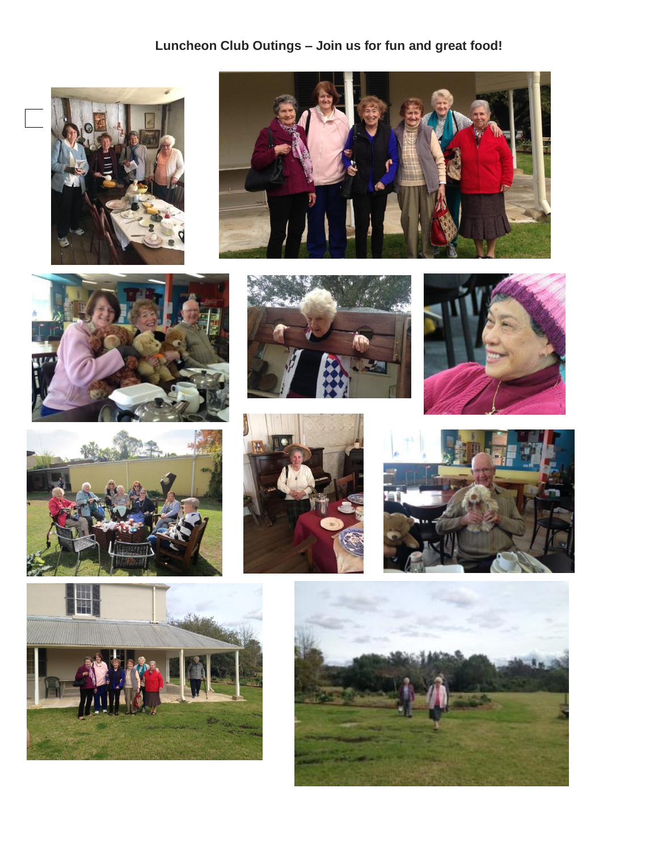## **Luncheon Club Outings – Join us for fun and great food!**